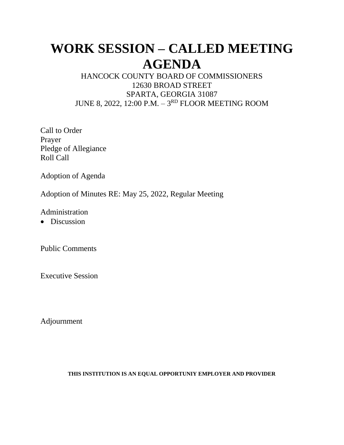# **WORK SESSION – CALLED MEETING AGENDA**

## HANCOCK COUNTY BOARD OF COMMISSIONERS 12630 BROAD STREET SPARTA, GEORGIA 31087 JUNE 8, 2022, 12:00 P.M. – 3<sup>rd</sup> FLOOR MEETING ROOM

Call to Order Prayer Pledge of Allegiance Roll Call

Adoption of Agenda

Adoption of Minutes RE: May 25, 2022, Regular Meeting

Administration

• Discussion

Public Comments

Executive Session

Adjournment

#### **THIS INSTITUTION IS AN EQUAL OPPORTUNIY EMPLOYER AND PROVIDER**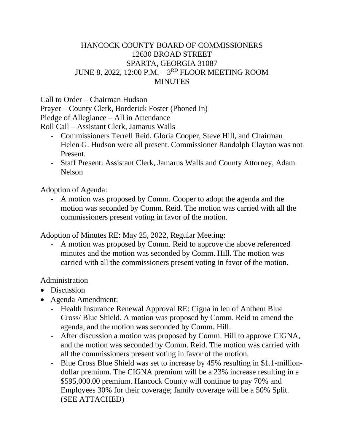### HANCOCK COUNTY BOARD OF COMMISSIONERS 12630 BROAD STREET SPARTA, GEORGIA 31087 JUNE 8, 2022, 12:00 P.M. – 3<sup>rd</sup> FLOOR MEETING ROOM **MINUTES**

Call to Order – Chairman Hudson

Prayer – County Clerk, Borderick Foster (Phoned In) Pledge of Allegiance – All in Attendance

Roll Call – Assistant Clerk, Jamarus Walls

- Commissioners Terrell Reid, Gloria Cooper, Steve Hill, and Chairman Helen G. Hudson were all present. Commissioner Randolph Clayton was not Present.
- Staff Present: Assistant Clerk, Jamarus Walls and County Attorney, Adam Nelson

Adoption of Agenda:

A motion was proposed by Comm. Cooper to adopt the agenda and the motion was seconded by Comm. Reid. The motion was carried with all the commissioners present voting in favor of the motion.

Adoption of Minutes RE: May 25, 2022, Regular Meeting:

- A motion was proposed by Comm. Reid to approve the above referenced minutes and the motion was seconded by Comm. Hill. The motion was carried with all the commissioners present voting in favor of the motion.

## Administration

- Discussion
- Agenda Amendment:
	- Health Insurance Renewal Approval RE: Cigna in leu of Anthem Blue Cross/ Blue Shield. A motion was proposed by Comm. Reid to amend the agenda, and the motion was seconded by Comm. Hill.
	- After discussion a motion was proposed by Comm. Hill to approve CIGNA, and the motion was seconded by Comm. Reid. The motion was carried with all the commissioners present voting in favor of the motion.
	- Blue Cross Blue Shield was set to increase by 45% resulting in \$1.1-milliondollar premium. The CIGNA premium will be a 23% increase resulting in a \$595,000.00 premium. Hancock County will continue to pay 70% and Employees 30% for their coverage; family coverage will be a 50% Split. (SEE ATTACHED)